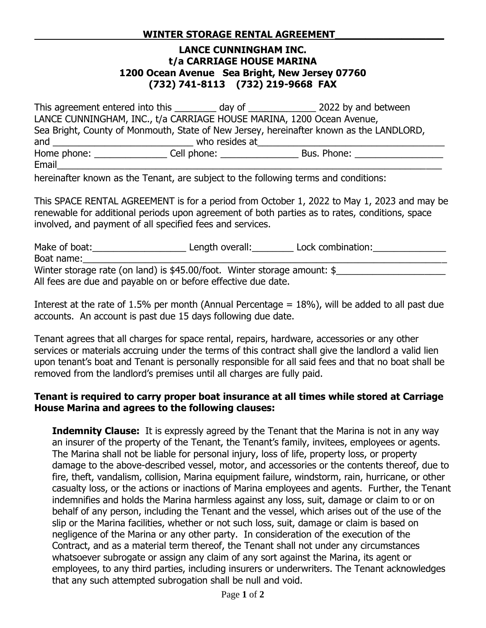## **LANCE CUNNINGHAM INC. t/a CARRIAGE HOUSE MARINA 1200 Ocean Avenue Sea Bright, New Jersey 07760 (732) 741-8113 (732) 219-9668 FAX**

This agreement entered into this \_\_\_\_\_\_\_\_\_ day of \_\_\_\_\_\_\_\_\_\_\_\_\_\_\_ 2022 by and between LANCE CUNNINGHAM, INC., t/a CARRIAGE HOUSE MARINA, 1200 Ocean Avenue, Sea Bright, County of Monmouth, State of New Jersey, hereinafter known as the LANDLORD, and \_\_\_\_\_\_\_\_\_\_\_\_\_\_\_\_\_\_\_\_\_\_\_\_\_\_\_ who resides at\_\_\_\_\_\_\_\_\_\_\_\_\_\_\_\_\_\_\_\_\_\_\_\_\_\_\_\_\_\_\_\_\_\_\_\_ Home phone: \_\_\_\_\_\_\_\_\_\_\_\_\_\_\_\_\_\_\_\_\_\_Cell phone: \_\_\_\_\_\_\_\_\_\_\_\_\_\_\_\_\_\_\_\_\_\_\_\_\_\_\_\_\_\_\_\_\_\_<br>Bus. Phone: Email\_\_\_\_\_\_\_\_\_\_\_\_\_\_\_\_\_\_\_\_\_\_\_\_\_\_\_\_\_\_\_\_\_\_\_\_\_\_\_\_\_\_\_\_\_\_\_\_\_\_\_\_\_\_\_\_\_\_\_\_\_\_\_\_\_\_\_\_\_\_\_\_\_\_

hereinafter known as the Tenant, are subject to the following terms and conditions:

This SPACE RENTAL AGREEMENT is for a period from October 1, 2022 to May 1, 2023 and may be renewable for additional periods upon agreement of both parties as to rates, conditions, space involved, and payment of all specified fees and services.

| Make of boat:                                                            | Length overall: | Lock combination: |  |  |
|--------------------------------------------------------------------------|-----------------|-------------------|--|--|
| Boat name:                                                               |                 |                   |  |  |
| Winter storage rate (on land) is \$45.00/foot. Winter storage amount: \$ |                 |                   |  |  |
| All fees are due and payable on or before effective due date.            |                 |                   |  |  |

Interest at the rate of 1.5% per month (Annual Percentage  $= 18$ %), will be added to all past due accounts. An account is past due 15 days following due date.

Tenant agrees that all charges for space rental, repairs, hardware, accessories or any other services or materials accruing under the terms of this contract shall give the landlord a valid lien upon tenant's boat and Tenant is personally responsible for all said fees and that no boat shall be removed from the landlord's premises until all charges are fully paid.

## **Tenant is required to carry proper boat insurance at all times while stored at Carriage House Marina and agrees to the following clauses:**

**Indemnity Clause:** It is expressly agreed by the Tenant that the Marina is not in any way an insurer of the property of the Tenant, the Tenant's family, invitees, employees or agents. The Marina shall not be liable for personal injury, loss of life, property loss, or property damage to the above-described vessel, motor, and accessories or the contents thereof, due to fire, theft, vandalism, collision, Marina equipment failure, windstorm, rain, hurricane, or other casualty loss, or the actions or inactions of Marina employees and agents. Further, the Tenant indemnifies and holds the Marina harmless against any loss, suit, damage or claim to or on behalf of any person, including the Tenant and the vessel, which arises out of the use of the slip or the Marina facilities, whether or not such loss, suit, damage or claim is based on negligence of the Marina or any other party. In consideration of the execution of the Contract, and as a material term thereof, the Tenant shall not under any circumstances whatsoever subrogate or assign any claim of any sort against the Marina, its agent or employees, to any third parties, including insurers or underwriters. The Tenant acknowledges that any such attempted subrogation shall be null and void.